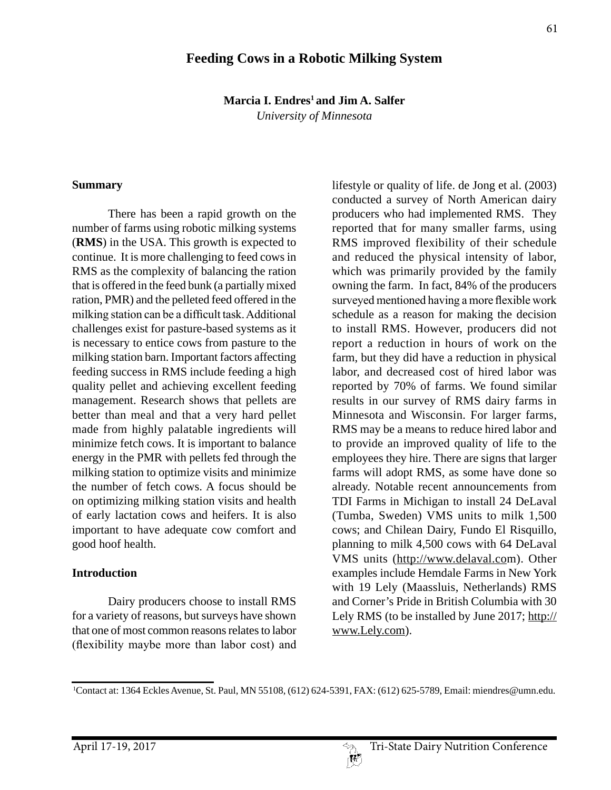## **Feeding Cows in a Robotic Milking System**

**Marcia I. Endres<sup>1</sup> and Jim A. Salfer** 

*University of Minnesota*

#### **Summary**

There has been a rapid growth on the number of farms using robotic milking systems (**RMS**) in the USA. This growth is expected to continue. It is more challenging to feed cows in RMS as the complexity of balancing the ration that is offered in the feed bunk (a partially mixed ration, PMR) and the pelleted feed offered in the milking station can be a difficult task. Additional challenges exist for pasture-based systems as it is necessary to entice cows from pasture to the milking station barn. Important factors affecting feeding success in RMS include feeding a high quality pellet and achieving excellent feeding management. Research shows that pellets are better than meal and that a very hard pellet made from highly palatable ingredients will minimize fetch cows. It is important to balance energy in the PMR with pellets fed through the milking station to optimize visits and minimize the number of fetch cows. A focus should be on optimizing milking station visits and health of early lactation cows and heifers. It is also important to have adequate cow comfort and good hoof health.

#### **Introduction**

Dairy producers choose to install RMS for a variety of reasons, but surveys have shown that one of most common reasons relates to labor (flexibility maybe more than labor cost) and lifestyle or quality of life. de Jong et al. (2003) conducted a survey of North American dairy producers who had implemented RMS. They reported that for many smaller farms, using RMS improved flexibility of their schedule and reduced the physical intensity of labor, which was primarily provided by the family owning the farm. In fact, 84% of the producers surveyed mentioned having a more flexible work schedule as a reason for making the decision to install RMS. However, producers did not report a reduction in hours of work on the farm, but they did have a reduction in physical labor, and decreased cost of hired labor was reported by 70% of farms. We found similar results in our survey of RMS dairy farms in Minnesota and Wisconsin. For larger farms, RMS may be a means to reduce hired labor and to provide an improved quality of life to the employees they hire. There are signs that larger farms will adopt RMS, as some have done so already. Notable recent announcements from TDI Farms in Michigan to install 24 DeLaval (Tumba, Sweden) VMS units to milk 1,500 cows; and Chilean Dairy, Fundo El Risquillo, planning to milk 4,500 cows with 64 DeLaval VMS units (http://www.delaval.com). Other examples include Hemdale Farms in New York with 19 Lely (Maassluis, Netherlands) RMS and Corner's Pride in British Columbia with 30 Lely RMS (to be installed by June 2017; http:// www.Lely.com).

<sup>1</sup> Contact at: 1364 Eckles Avenue, St. Paul, MN 55108, (612) 624-5391, FAX: (612) 625-5789, Email: miendres@umn.edu.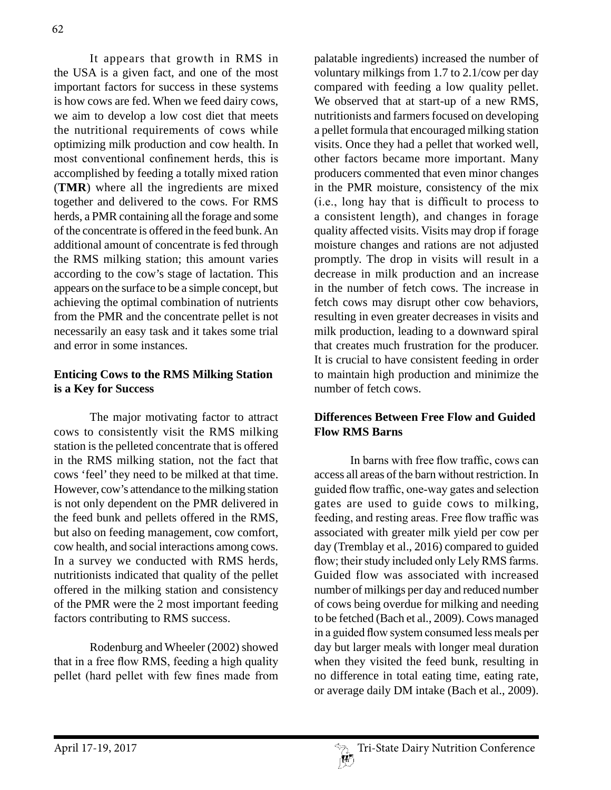It appears that growth in RMS in the USA is a given fact, and one of the most important factors for success in these systems is how cows are fed. When we feed dairy cows, we aim to develop a low cost diet that meets the nutritional requirements of cows while optimizing milk production and cow health. In most conventional confinement herds, this is accomplished by feeding a totally mixed ration (**TMR**) where all the ingredients are mixed together and delivered to the cows. For RMS herds, a PMR containing all the forage and some of the concentrate is offered in the feed bunk. An additional amount of concentrate is fed through the RMS milking station; this amount varies according to the cow's stage of lactation. This appears on the surface to be a simple concept, but achieving the optimal combination of nutrients from the PMR and the concentrate pellet is not necessarily an easy task and it takes some trial and error in some instances.

# **Enticing Cows to the RMS Milking Station is a Key for Success**

The major motivating factor to attract cows to consistently visit the RMS milking station is the pelleted concentrate that is offered in the RMS milking station, not the fact that cows 'feel' they need to be milked at that time. However, cow's attendance to the milking station is not only dependent on the PMR delivered in the feed bunk and pellets offered in the RMS, but also on feeding management, cow comfort, cow health, and social interactions among cows. In a survey we conducted with RMS herds, nutritionists indicated that quality of the pellet offered in the milking station and consistency of the PMR were the 2 most important feeding factors contributing to RMS success.

Rodenburg and Wheeler (2002) showed that in a free flow RMS, feeding a high quality pellet (hard pellet with few fines made from

palatable ingredients) increased the number of voluntary milkings from 1.7 to 2.1/cow per day compared with feeding a low quality pellet. We observed that at start-up of a new RMS, nutritionists and farmers focused on developing a pellet formula that encouraged milking station visits. Once they had a pellet that worked well, other factors became more important. Many producers commented that even minor changes in the PMR moisture, consistency of the mix (i.e., long hay that is difficult to process to a consistent length), and changes in forage quality affected visits. Visits may drop if forage moisture changes and rations are not adjusted promptly. The drop in visits will result in a decrease in milk production and an increase in the number of fetch cows. The increase in fetch cows may disrupt other cow behaviors, resulting in even greater decreases in visits and milk production, leading to a downward spiral that creates much frustration for the producer. It is crucial to have consistent feeding in order to maintain high production and minimize the number of fetch cows.

### **Differences Between Free Flow and Guided Flow RMS Barns**

In barns with free flow traffic, cows can access all areas of the barn without restriction. In guided flow traffic, one-way gates and selection gates are used to guide cows to milking, feeding, and resting areas. Free flow traffic was associated with greater milk yield per cow per day (Tremblay et al., 2016) compared to guided flow; their study included only Lely RMS farms. Guided flow was associated with increased number of milkings per day and reduced number of cows being overdue for milking and needing to be fetched (Bach et al., 2009). Cows managed in a guided flow system consumed less meals per day but larger meals with longer meal duration when they visited the feed bunk, resulting in no difference in total eating time, eating rate, or average daily DM intake (Bach et al., 2009).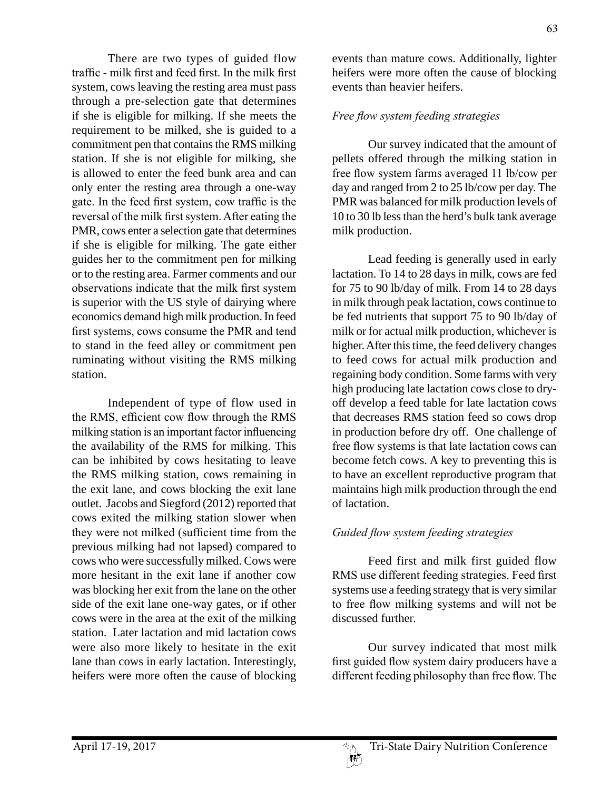There are two types of guided flow traffic - milk first and feed first. In the milk first system, cows leaving the resting area must pass through a pre-selection gate that determines if she is eligible for milking. If she meets the requirement to be milked, she is guided to a commitment pen that contains the RMS milking station. If she is not eligible for milking, she is allowed to enter the feed bunk area and can only enter the resting area through a one-way gate. In the feed first system, cow traffic is the reversal of the milk first system. After eating the PMR, cows enter a selection gate that determines if she is eligible for milking. The gate either guides her to the commitment pen for milking or to the resting area. Farmer comments and our observations indicate that the milk first system is superior with the US style of dairying where economics demand high milk production. In feed first systems, cows consume the PMR and tend to stand in the feed alley or commitment pen ruminating without visiting the RMS milking station.

Independent of type of flow used in the RMS, efficient cow flow through the RMS milking station is an important factor influencing the availability of the RMS for milking. This can be inhibited by cows hesitating to leave the RMS milking station, cows remaining in the exit lane, and cows blocking the exit lane outlet. Jacobs and Siegford (2012) reported that cows exited the milking station slower when they were not milked (sufficient time from the previous milking had not lapsed) compared to cows who were successfully milked. Cows were more hesitant in the exit lane if another cow was blocking her exit from the lane on the other side of the exit lane one-way gates, or if other cows were in the area at the exit of the milking station. Later lactation and mid lactation cows were also more likely to hesitate in the exit lane than cows in early lactation. Interestingly, heifers were more often the cause of blocking

events than mature cows. Additionally, lighter heifers were more often the cause of blocking events than heavier heifers.

### *Free flow system feeding strategies*

Our survey indicated that the amount of pellets offered through the milking station in free flow system farms averaged 11 lb/cow per day and ranged from 2 to 25 lb/cow per day. The PMR was balanced for milk production levels of 10 to 30 lb less than the herd's bulk tank average milk production.

Lead feeding is generally used in early lactation. To 14 to 28 days in milk, cows are fed for 75 to 90 lb/day of milk. From 14 to 28 days in milk through peak lactation, cows continue to be fed nutrients that support 75 to 90 lb/day of milk or for actual milk production, whichever is higher. After this time, the feed delivery changes to feed cows for actual milk production and regaining body condition. Some farms with very high producing late lactation cows close to dryoff develop a feed table for late lactation cows that decreases RMS station feed so cows drop in production before dry off. One challenge of free flow systems is that late lactation cows can become fetch cows. A key to preventing this is to have an excellent reproductive program that maintains high milk production through the end of lactation.

### *Guided flow system feeding strategies*

Feed first and milk first guided flow RMS use different feeding strategies. Feed first systems use a feeding strategy that is very similar to free flow milking systems and will not be discussed further.

Our survey indicated that most milk first guided flow system dairy producers have a different feeding philosophy than free flow. The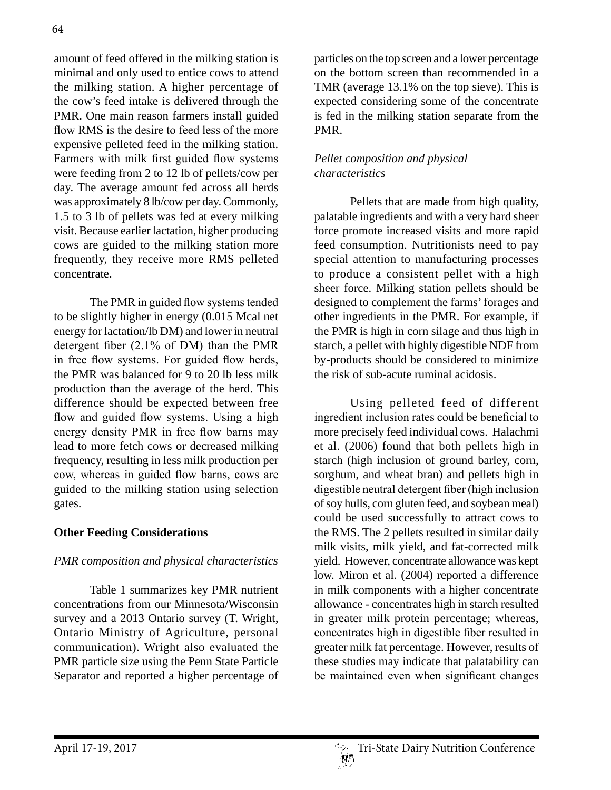amount of feed offered in the milking station is minimal and only used to entice cows to attend the milking station. A higher percentage of the cow's feed intake is delivered through the PMR. One main reason farmers install guided flow RMS is the desire to feed less of the more expensive pelleted feed in the milking station. Farmers with milk first guided flow systems were feeding from 2 to 12 lb of pellets/cow per day. The average amount fed across all herds was approximately 8 lb/cow per day. Commonly, 1.5 to 3 lb of pellets was fed at every milking visit. Because earlier lactation, higher producing cows are guided to the milking station more frequently, they receive more RMS pelleted concentrate.

The PMR in guided flow systems tended to be slightly higher in energy (0.015 Mcal net energy for lactation/lb DM) and lower in neutral detergent fiber (2.1% of DM) than the PMR in free flow systems. For guided flow herds, the PMR was balanced for 9 to 20 lb less milk production than the average of the herd. This difference should be expected between free flow and guided flow systems. Using a high energy density PMR in free flow barns may lead to more fetch cows or decreased milking frequency, resulting in less milk production per cow, whereas in guided flow barns, cows are guided to the milking station using selection gates.

## **Other Feeding Considerations**

# *PMR composition and physical characteristics*

Table 1 summarizes key PMR nutrient concentrations from our Minnesota/Wisconsin survey and a 2013 Ontario survey (T. Wright, Ontario Ministry of Agriculture, personal communication). Wright also evaluated the PMR particle size using the Penn State Particle Separator and reported a higher percentage of particles on the top screen and a lower percentage on the bottom screen than recommended in a TMR (average 13.1% on the top sieve). This is expected considering some of the concentrate is fed in the milking station separate from the PMR.

# *Pellet composition and physical characteristics*

Pellets that are made from high quality, palatable ingredients and with a very hard sheer force promote increased visits and more rapid feed consumption. Nutritionists need to pay special attention to manufacturing processes to produce a consistent pellet with a high sheer force. Milking station pellets should be designed to complement the farms' forages and other ingredients in the PMR. For example, if the PMR is high in corn silage and thus high in starch, a pellet with highly digestible NDF from by-products should be considered to minimize the risk of sub-acute ruminal acidosis.

Using pelleted feed of different ingredient inclusion rates could be beneficial to more precisely feed individual cows. Halachmi et al. (2006) found that both pellets high in starch (high inclusion of ground barley, corn, sorghum, and wheat bran) and pellets high in digestible neutral detergent fiber (high inclusion of soy hulls, corn gluten feed, and soybean meal) could be used successfully to attract cows to the RMS. The 2 pellets resulted in similar daily milk visits, milk yield, and fat-corrected milk yield. However, concentrate allowance was kept low. Miron et al. (2004) reported a difference in milk components with a higher concentrate allowance - concentrates high in starch resulted in greater milk protein percentage; whereas, concentrates high in digestible fiber resulted in greater milk fat percentage. However, results of these studies may indicate that palatability can be maintained even when significant changes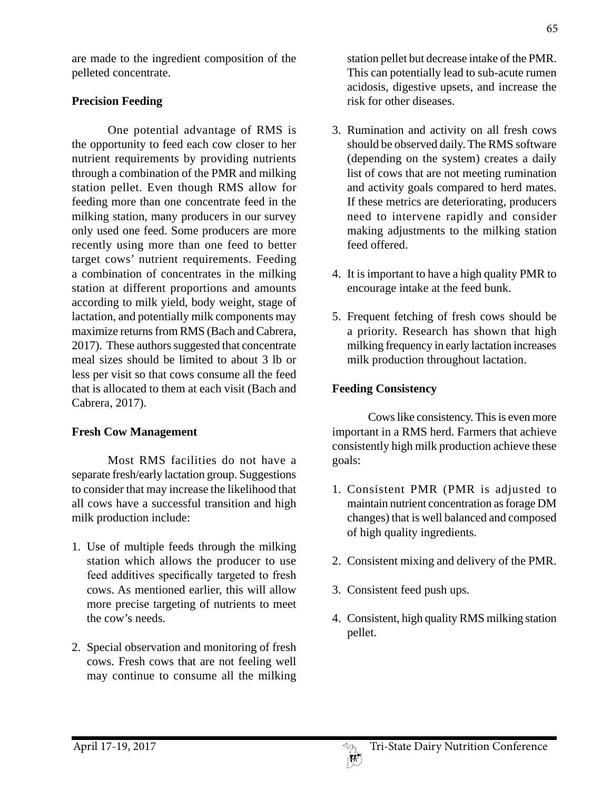are made to the ingredient composition of the pelleted concentrate.

# **Precision Feeding**

One potential advantage of RMS is the opportunity to feed each cow closer to her nutrient requirements by providing nutrients through a combination of the PMR and milking station pellet. Even though RMS allow for feeding more than one concentrate feed in the milking station, many producers in our survey only used one feed. Some producers are more recently using more than one feed to better target cows' nutrient requirements. Feeding a combination of concentrates in the milking station at different proportions and amounts according to milk yield, body weight, stage of lactation, and potentially milk components may maximize returns from RMS (Bach and Cabrera, 2017). These authors suggested that concentrate meal sizes should be limited to about 3 lb or less per visit so that cows consume all the feed that is allocated to them at each visit (Bach and Cabrera, 2017).

## **Fresh Cow Management**

Most RMS facilities do not have a separate fresh/early lactation group. Suggestions to consider that may increase the likelihood that all cows have a successful transition and high milk production include:

- 1. Use of multiple feeds through the milking station which allows the producer to use feed additives specifically targeted to fresh cows. As mentioned earlier, this will allow more precise targeting of nutrients to meet the cow's needs.
- 2. Special observation and monitoring of fresh cows. Fresh cows that are not feeling well may continue to consume all the milking

station pellet but decrease intake of the PMR. This can potentially lead to sub-acute rumen acidosis, digestive upsets, and increase the risk for other diseases.

- 3. Rumination and activity on all fresh cows should be observed daily. The RMS software (depending on the system) creates a daily list of cows that are not meeting rumination and activity goals compared to herd mates. If these metrics are deteriorating, producers need to intervene rapidly and consider making adjustments to the milking station feed offered.
- 4. It is important to have a high quality PMR to encourage intake at the feed bunk.
- 5. Frequent fetching of fresh cows should be a priority. Research has shown that high milking frequency in early lactation increases milk production throughout lactation.

# **Feeding Consistency**

Cows like consistency. This is even more important in a RMS herd. Farmers that achieve consistently high milk production achieve these goals:

- 1. Consistent PMR (PMR is adjusted to maintain nutrient concentration as forage DM changes) that is well balanced and composed of high quality ingredients.
- 2. Consistent mixing and delivery of the PMR.
- 3. Consistent feed push ups.
- 4. Consistent, high quality RMS milking station pellet.

65

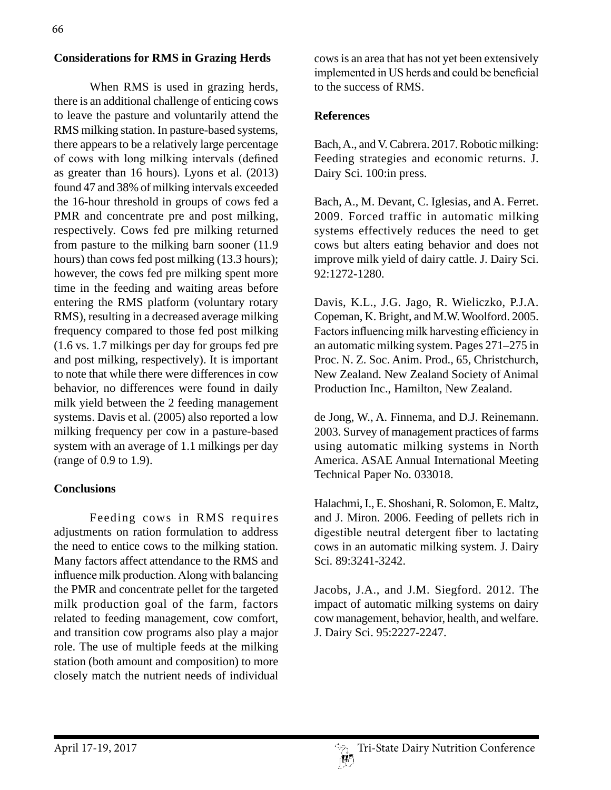## **Considerations for RMS in Grazing Herds**

When RMS is used in grazing herds, there is an additional challenge of enticing cows to leave the pasture and voluntarily attend the RMS milking station. In pasture-based systems, there appears to be a relatively large percentage of cows with long milking intervals (defined as greater than 16 hours). Lyons et al. (2013) found 47 and 38% of milking intervals exceeded the 16-hour threshold in groups of cows fed a PMR and concentrate pre and post milking, respectively. Cows fed pre milking returned from pasture to the milking barn sooner (11.9 hours) than cows fed post milking (13.3 hours); however, the cows fed pre milking spent more time in the feeding and waiting areas before entering the RMS platform (voluntary rotary RMS), resulting in a decreased average milking frequency compared to those fed post milking (1.6 vs. 1.7 milkings per day for groups fed pre and post milking, respectively). It is important to note that while there were differences in cow behavior, no differences were found in daily milk yield between the 2 feeding management systems. Davis et al. (2005) also reported a low milking frequency per cow in a pasture-based system with an average of 1.1 milkings per day (range of 0.9 to 1.9).

### **Conclusions**

Feeding cows in RMS requires adjustments on ration formulation to address the need to entice cows to the milking station. Many factors affect attendance to the RMS and influence milk production. Along with balancing the PMR and concentrate pellet for the targeted milk production goal of the farm, factors related to feeding management, cow comfort, and transition cow programs also play a major role. The use of multiple feeds at the milking station (both amount and composition) to more closely match the nutrient needs of individual cows is an area that has not yet been extensively implemented in US herds and could be beneficial to the success of RMS.

#### **References**

Bach, A., and V. Cabrera. 2017. Robotic milking: Feeding strategies and economic returns. J. Dairy Sci. 100:in press.

Bach, A., M. Devant, C. Iglesias, and A. Ferret. 2009. Forced traffic in automatic milking systems effectively reduces the need to get cows but alters eating behavior and does not improve milk yield of dairy cattle. J. Dairy Sci. 92:1272-1280.

Davis, K.L., J.G. Jago, R. Wieliczko, P.J.A. Copeman, K. Bright, and M.W. Woolford. 2005. Factors influencing milk harvesting efficiency in an automatic milking system. Pages 271–275 in Proc. N. Z. Soc. Anim. Prod., 65, Christchurch, New Zealand. New Zealand Society of Animal Production Inc., Hamilton, New Zealand.

de Jong, W., A. Finnema, and D.J. Reinemann. 2003. Survey of management practices of farms using automatic milking systems in North America. ASAE Annual International Meeting Technical Paper No. 033018.

Halachmi, I., E. Shoshani, R. Solomon, E. Maltz, and J. Miron. 2006. Feeding of pellets rich in digestible neutral detergent fiber to lactating cows in an automatic milking system. J. Dairy Sci. 89:3241-3242.

Jacobs, J.A., and J.M. Siegford. 2012. The impact of automatic milking systems on dairy cow management, behavior, health, and welfare. J. Dairy Sci. 95:2227-2247.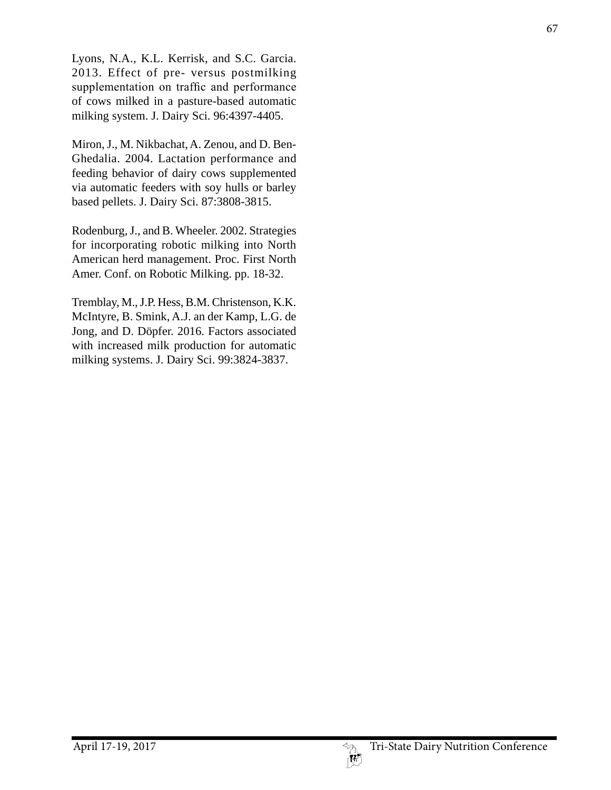Lyons, N.A., K.L. Kerrisk, and S.C. Garcia. 2013. Effect of pre- versus postmilking supplementation on traffic and performance of cows milked in a pasture-based automatic milking system. J. Dairy Sci. 96:4397-4405.

Miron, J., M. Nikbachat, A. Zenou, and D. Ben-Ghedalia. 2004. Lactation performance and feeding behavior of dairy cows supplemented via automatic feeders with soy hulls or barley based pellets. J. Dairy Sci. 87:3808-3815.

Rodenburg, J., and B. Wheeler. 2002. Strategies for incorporating robotic milking into North American herd management. Proc. First North Amer. Conf. on Robotic Milking. pp. 18-32.

Tremblay, M., J.P. Hess, B.M. Christenson, K.K. McIntyre, B. Smink, A.J. an der Kamp, L.G. de Jong, and D. Döpfer. 2016. Factors associated with increased milk production for automatic milking systems. J. Dairy Sci. 99:3824-3837.